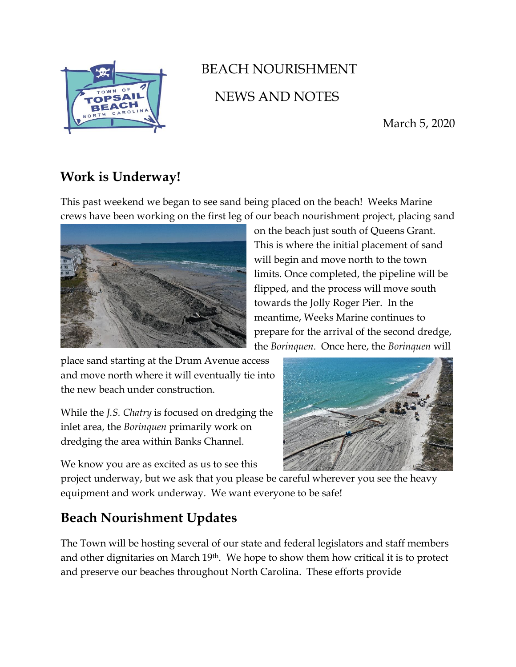

## BEACH NOURISHMENT NEWS AND NOTES

March 5, 2020

## **Work is Underway!**

This past weekend we began to see sand being placed on the beach! Weeks Marine crews have been working on the first leg of our beach nourishment project, placing sand



on the beach just south of Queens Grant. This is where the initial placement of sand will begin and move north to the town limits. Once completed, the pipeline will be flipped, and the process will move south towards the Jolly Roger Pier. In the meantime, Weeks Marine continues to prepare for the arrival of the second dredge, the *Borinquen.* Once here, the *Borinquen* will

place sand starting at the Drum Avenue access and move north where it will eventually tie into the new beach under construction.

While the *J.S. Chatry* is focused on dredging the inlet area, the *Borinquen* primarily work on dredging the area within Banks Channel.

We know you are as excited as us to see this

project underway, but we ask that you please be careful wherever you see the heavy equipment and work underway. We want everyone to be safe!

## **Beach Nourishment Updates**

The Town will be hosting several of our state and federal legislators and staff members and other dignitaries on March 19th. We hope to show them how critical it is to protect and preserve our beaches throughout North Carolina. These efforts provide